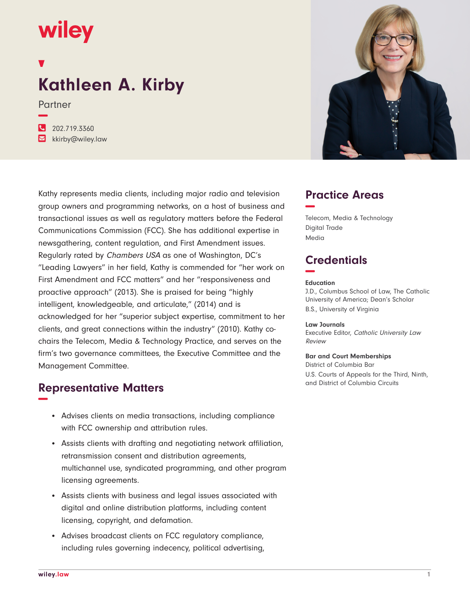## wiley

# **Kathleen A. Kirby**

Partner

**−**

**�** 202.719.3360 **�** kkirby@wiley.law

Kathy represents media clients, including major radio and television group owners and programming networks, on a host of business and transactional issues as well as regulatory matters before the Federal Communications Commission (FCC). She has additional expertise in newsgathering, content regulation, and First Amendment issues. Regularly rated by Chambers USA as one of Washington, DC's "Leading Lawyers" in her field, Kathy is commended for "her work on First Amendment and FCC matters" and her "responsiveness and proactive approach" (2013). She is praised for being "highly intelligent, knowledgeable, and articulate," (2014) and is acknowledged for her "superior subject expertise, commitment to her clients, and great connections within the industry" (2010). Kathy cochairs the Telecom, Media & Technology Practice, and serves on the firm's two governance committees, the Executive Committee and the Management Committee.

## **Representative Matters −**

- Advises clients on media transactions, including compliance with FCC ownership and attribution rules.
- Assists clients with drafting and negotiating network affiliation, retransmission consent and distribution agreements, multichannel use, syndicated programming, and other program licensing agreements.
- Assists clients with business and legal issues associated with digital and online distribution platforms, including content licensing, copyright, and defamation.
- Advises broadcast clients on FCC regulatory compliance, including rules governing indecency, political advertising,



## **Practice Areas −**

Telecom, Media & Technology Digital Trade Media

## **Credentials −**

#### **Education**

J.D., Columbus School of Law, The Catholic University of America; Dean's Scholar B.S., University of Virginia

#### **Law Journals**

Executive Editor, Catholic University Law Review

#### **Bar and Court Memberships**

District of Columbia Bar U.S. Courts of Appeals for the Third, Ninth, and District of Columbia Circuits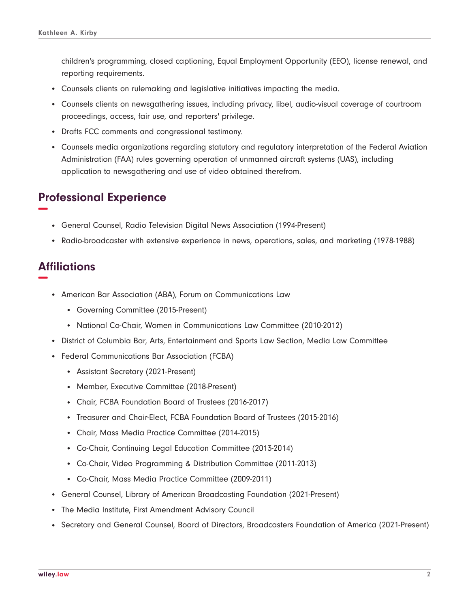children's programming, closed captioning, Equal Employment Opportunity (EEO), license renewal, and reporting requirements.

- Counsels clients on rulemaking and legislative initiatives impacting the media.
- Counsels clients on newsgathering issues, including privacy, libel, audio-visual coverage of courtroom proceedings, access, fair use, and reporters' privilege.
- Drafts FCC comments and congressional testimony.
- Counsels media organizations regarding statutory and regulatory interpretation of the Federal Aviation Administration (FAA) rules governing operation of unmanned aircraft systems (UAS), including application to newsgathering and use of video obtained therefrom.

## **Professional Experience −**

- General Counsel, Radio Television Digital News Association (1994-Present)
- Radio-broadcaster with extensive experience in news, operations, sales, and marketing (1978-1988)

## **Affiliations −**

- American Bar Association (ABA), Forum on Communications Law
	- Governing Committee (2015-Present)
	- National Co-Chair, Women in Communications Law Committee (2010-2012)
- District of Columbia Bar, Arts, Entertainment and Sports Law Section, Media Law Committee
- Federal Communications Bar Association (FCBA)
	- Assistant Secretary (2021-Present)
	- Member, Executive Committee (2018-Present)
	- Chair, FCBA Foundation Board of Trustees (2016-2017)
	- Treasurer and Chair-Elect, FCBA Foundation Board of Trustees (2015-2016)
	- Chair, Mass Media Practice Committee (2014-2015)
	- Co-Chair, Continuing Legal Education Committee (2013-2014)
	- Co-Chair, Video Programming & Distribution Committee (2011-2013)
	- Co-Chair, Mass Media Practice Committee (2009-2011)
- General Counsel, Library of American Broadcasting Foundation (2021-Present)
- The Media Institute, First Amendment Advisory Council
- Secretary and General Counsel, Board of Directors, Broadcasters Foundation of America (2021-Present)